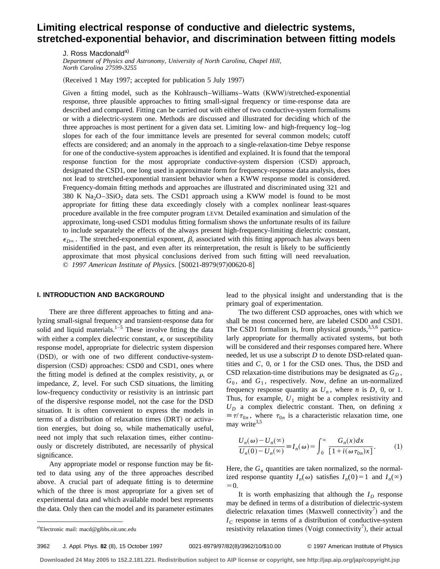# **Limiting electrical response of conductive and dielectric systems, stretched-exponential behavior, and discrimination between fitting models**

J. Ross Macdonald<sup>a)</sup>

*Department of Physics and Astronomy, University of North Carolina, Chapel Hill, North Carolina 27599-3255*

 $(Received 1 May 1997; accepted for publication 5 July 1997)$ 

Given a fitting model, such as the Kohlrausch–Williams–Watts (KWW)/stretched-exponential response, three plausible approaches to fitting small-signal frequency or time-response data are described and compared. Fitting can be carried out with either of two conductive-system formalisms or with a dielectric-system one. Methods are discussed and illustrated for deciding which of the three approaches is most pertinent for a given data set. Limiting low- and high-frequency log–log slopes for each of the four immittance levels are presented for several common models; cutoff effects are considered; and an anomaly in the approach to a single-relaxation-time Debye response for one of the conductive-system approaches is identified and explained. It is found that the temporal response function for the most appropriate conductive-system dispersion (CSD) approach, designated the CSD1, one long used in approximate form for frequency-response data analysis, does not lead to stretched-exponential transient behavior when a KWW response model is considered. Frequency-domain fitting methods and approaches are illustrated and discriminated using 321 and 380 K  $\text{Na}_2\text{O}-3\text{SiO}_2$  data sets. The CSD1 approach using a KWW model is found to be most appropriate for fitting these data exceedingly closely with a complex nonlinear least-squares procedure available in the free computer program LEVM. Detailed examination and simulation of the approximate, long-used CSD1 modulus fitting formalism shows the unfortunate results of its failure to include separately the effects of the always present high-frequency-limiting dielectric constant,  $\epsilon_{D\infty}$ . The stretched-exponential exponent,  $\beta$ , associated with this fitting approach has always been misidentified in the past, and even after its reinterpretation, the result is likely to be sufficiently approximate that most physical conclusions derived from such fitting will need reevaluation. © 1997 American Institute of Physics. [S0021-8979(97)00620-8]

#### **I. INTRODUCTION AND BACKGROUND**

There are three different approaches to fitting and analyzing small-signal frequency and transient-response data for solid and liquid materials.<sup>1–5</sup> These involve fitting the data with either a complex dielectric constant,  $\epsilon$ , or susceptibility response model, appropriate for dielectric system dispersion (DSD), or with one of two different conductive-system $disperson (CSD) approaches: CSD0 and CSD1, ones where$ the fitting model is defined at the complex resistivity,  $\rho$ , or impedance, *Z*, level. For such CSD situations, the limiting low-frequency conductivity or resistivity is an intrinsic part of the dispersive response model, not the case for the DSD situation. It is often convenient to express the models in terms of a distribution of relaxation times (DRT) or activation energies, but doing so, while mathematically useful, need not imply that such relaxation times, either continuously or discretely distributed, are necessarily of physical significance.

Any appropriate model or response function may be fitted to data using any of the three approaches described above. A crucial part of adequate fitting is to determine which of the three is most appropriate for a given set of experimental data and which available model best represents the data. Only then can the model and its parameter estimates lead to the physical insight and understanding that is the primary goal of experimentation.

The two different CSD approaches, ones with which we shall be most concerned here, are labeled CSD0 and CSD1. The CSD1 formalism is, from physical grounds,  $3,5,6$  particularly appropriate for thermally activated systems, but both will be considered and their responses compared here. Where needed, let us use a subscript *D* to denote DSD-related quantities and *C*, 0, or 1 for the CSD ones. Thus, the DSD and CSD relaxation-time distributions may be designated as  $G_D$ ,  $G_0$ , and  $G_1$ , respectively. Now, define an un-normalized frequency response quantity as  $U_n$ , where *n* is *D*, 0, or 1. Thus, for example,  $U_1$  might be a complex resistivity and  $U_D$  a complex dielectric constant. Then, on defining *x*  $\equiv \tau / \tau_{0n}$ , where  $\tau_{0n}$  is a characteristic relaxation time, one may write $3,5$ 

$$
\frac{U_n(\omega) - U_n(\infty)}{U_n(0) - U_n(\infty)} \equiv I_n(\omega) = \int_0^\infty \frac{G_n(x)dx}{\left[1 + i(\omega \tau_{0n})x\right]}.
$$
 (1)

Here, the  $G_n$  quantities are taken normalized, so the normalized response quantity  $I_n(\omega)$  satisfies  $I_n(0)=1$  and  $I_n(\infty)$  $=0.$ 

It is worth emphasizing that although the  $I_D$  response may be defined in terms of a distribution of dielectric-system dielectric relaxation times (Maxwell connectivity<sup>7</sup>) and the  $I_c$  response in terms of a distribution of conductive-system a)Electronic mail: macd@gibbs.oit.unc.edu resistivity relaxation times (Voigt connectivity<sup>7</sup>), their actual  $\cdot$ 

3962 J. Appl. Phys. **82** (8), 15 October 1997 0021-8979/97/82(8)/3962/10/\$10.00 © 1997 American Institute of Physics

Electronic mail: macd@gibbs.oit.unc.edu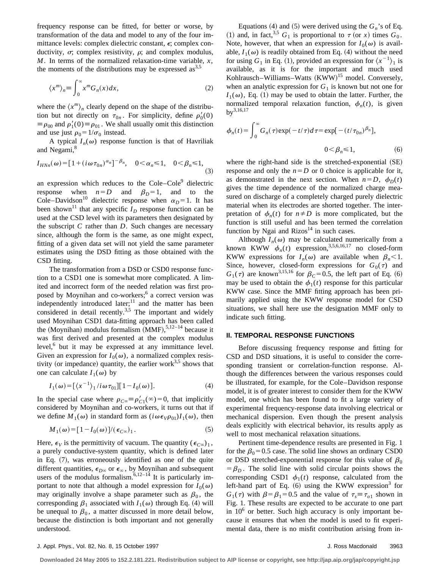frequency response can be fitted, for better or worse, by transformation of the data and model to any of the four immittance levels: complex dielectric constant,  $\epsilon$ ; complex conductivity,  $\sigma$ ; complex resistivity,  $\rho$ ; and complex modulus, *M*. In terms of the normalized relaxation-time variable, *x*, the moments of the distributions may be expressed  $\text{as}^{3,5}$ 

$$
\langle x^m \rangle_n \equiv \int_0^\infty x^m G_n(x) dx,\tag{2}
$$

where the  $\langle x^m \rangle$ <sub>n</sub> clearly depend on the shape of the distribution but not directly on  $\tau_{0n}$ . For simplicity, define  $\rho'_0(0)$  $\equiv \rho_{00}$  and  $\rho'_1(0) \equiv \rho_{01}$ . We shall usually omit this distinction and use just  $\rho_0 = 1/\sigma_0$  instead.

A typical  $I_n(\omega)$  response function is that of Havriliak and Negami,<sup>8</sup>

$$
I_{H N n}(\omega) = [1 + (i\omega \tau_{0n})^{\alpha_n}]^{-\beta_n}, \quad 0 < \alpha_n \le 1, \quad 0 < \beta_n \le 1,
$$
\n(3)

an expression which reduces to the  $Cole-Cole<sup>9</sup>$  dielectric response when  $n=D$  and  $\beta_D=1$ , and to the Cole–Davidson<sup>10</sup> dielectric response when  $\alpha_D = 1$ . It has been shown<sup>11</sup> that any specific  $I_D$  response function can be used at the CSD level with its parameters then designated by the subscript *C* rather than *D*. Such changes are necessary since, although the form is the same, as one might expect, fitting of a given data set will not yield the same parameter estimates using the DSD fitting as those obtained with the CSD fitting.

The transformation from a DSD or CSD0 response function to a CSD1 one is somewhat more complicated. A limited and incorrect form of the needed relation was first proposed by Moynihan and co-workers;<sup>6</sup> a correct version was independently introduced later; $11$  and the matter has been considered in detail recently.<sup>3,5</sup> The important and widely used Moynihan CSD1 data-fitting approach has been called the (Moynihan) modulus formalism  $(MMF),$ <sup>5,12–14</sup> because it was first derived and presented at the complex modulus level,<sup>6</sup> but it may be expressed at any immittance level. Given an expression for  $I_0(\omega)$ , a normalized complex resistivity (or impedance) quantity, the earlier work $3.5$  shows that one can calculate  $I_1(\omega)$  by

$$
I_1(\omega) = \left[ \langle x^{-1} \rangle_1 / i \omega \tau_{01} \right] \left[ 1 - I_0(\omega) \right]. \tag{4}
$$

In the special case where  $\rho_{C\infty} = \rho'_{C1}(\infty) = 0$ , that implicitly considered by Moynihan and co-workers, it turns out that if we define  $M_1(\omega)$  in standard form as  $(i\omega \epsilon_V \rho_{01})I_1(\omega)$ , then

$$
M_1(\omega) = [1 - I_0(\omega)]/(\epsilon_{C\omega})_1.
$$
 (5)

Here,  $\epsilon_V$  is the permittivity of vacuum. The quantity  $(\epsilon_{C\infty})_1$ , a purely conductive-system quantity, which is defined later in Eq.  $(7)$ , was erroneously identified as one of the quite different quantities,  $\epsilon_{D^\infty}$  or  $\epsilon_\infty$ , by Moynihan and subsequent users of the modulus formalism.<sup>6,12–14</sup> It is particularly important to note that although a model expression for  $I_0(\omega)$ may originally involve a shape parameter such as  $\beta_0$ , the corresponding  $\beta_1$  associated with  $I_1(\omega)$  through Eq. (4) will be unequal to  $\beta_0$ , a matter discussed in more detail below, because the distinction is both important and not generally understood.

Equations (4) and (5) were derived using the  $G_n$ 's of Eq. (1) and, in fact,<sup>3,5</sup>  $G_1$  is proportional to  $\tau$  (or *x*) times  $G_0$ . Note, however, that when an expression for  $I_0(\omega)$  is available,  $I_1(\omega)$  is readily obtained from Eq. (4) without the need for using  $G_1$  in Eq. (1), provided an expression for  $\langle x^{-1} \rangle_1$  is available, as it is for the important and much used Kohlrausch-Williams-Watts  $(KWW)^{15}$  model. Conversely, when an analytic expression for  $G_1$  is known but not one for  $I_1(\omega)$ , Eq. (1) may be used to obtain the latter. Further, the normalized temporal relaxation function,  $\phi_n(t)$ , is given  $by^{3,16,17}$ 

$$
\phi_n(t) = \int_0^\infty G_n(\tau) \exp(-t/\tau) d\tau = \exp[-(t/\tau_{0n})^{\beta_n}],
$$
  

$$
0 < \beta_n \le 1,
$$
 (6)

where the right-hand side is the stretched-exponential  $(SE)$ response and only the  $n=D$  or 0 choice is applicable for it, as demonstrated in the next section. When  $n=D$ ,  $\phi_D(t)$ gives the time dependence of the normalized charge measured on discharge of a completely charged purely dielectric material when its electrodes are shorted together. The interpretation of  $\phi_n(t)$  for  $n \neq D$  is more complicated, but the function is still useful and has been termed the correlation function by Ngai and  $Rizos<sup>14</sup>$  in such cases.

Although  $I_n(\omega)$  may be calculated numerically from a known KWW  $\phi_n(t)$  expression,<sup>3,5,6,16,17</sup> no closed-form KWW expressions for  $I_n(\omega)$  are available when  $\beta_n < 1$ . Since, however, closed-form expressions for  $G_0(\tau)$  and  $G_1(\tau)$  are known<sup>3,15,16</sup> for  $\beta_c = 0.5$ , the left part of Eq. (6) may be used to obtain the  $\phi_1(t)$  response for this particular KWW case. Since the MMF fitting approach has been primarily applied using the KWW response model for CSD situations, we shall here use the designation MMF only to indicate such fitting.

## **II. TEMPORAL RESPONSE FUNCTIONS**

Before discussing frequency response and fitting for CSD and DSD situations, it is useful to consider the corresponding transient or correlation-function response. Although the differences between the various responses could be illustrated, for example, for the Cole–Davidson response model, it is of greater interest to consider them for the KWW model, one which has been found to fit a large variety of experimental frequency-response data involving electrical or mechanical dispersion. Even though the present analysis deals explicitly with electrical behavior, its results apply as well to most mechanical relaxation situations.

Pertinent time-dependence results are presented in Fig. 1 for the  $\beta_0$ =0.5 case. The solid line shows an ordinary CSD0 or DSD stretched-exponential response for this value of  $\beta_0$  $=$  $\beta_D$ . The solid line with solid circular points shows the corresponding CSD1  $\phi_1(t)$  response, calculated from the left-hand part of Eq.  $(6)$  using the KWW expression<sup>3</sup> for  $G_1(\tau)$  with  $\beta = \beta_1 = 0.5$  and the value of  $\tau_s \equiv \tau_{0.1}$  shown in Fig. 1. These results are expected to be accurate to one part in  $10<sup>6</sup>$  or better. Such high accuracy is only important because it ensures that when the model is used to fit experimental data, there is no misfit contribution arising from in-

**Downloaded 24 May 2005 to 152.2.181.221. Redistribution subject to AIP license or copyright, see http://jap.aip.org/jap/copyright.jsp**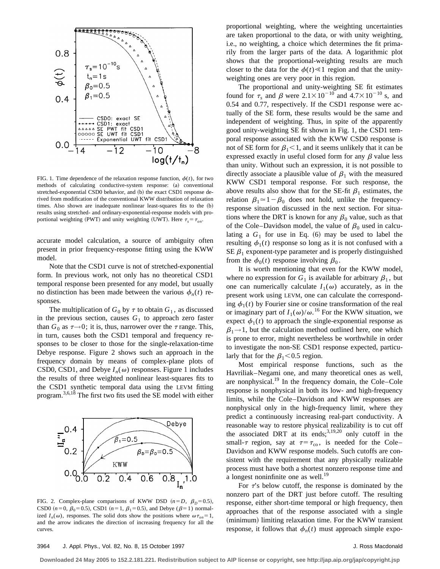

FIG. 1. Time dependence of the relaxation response function,  $\phi(t)$ , for two methods of calculating conductive-system response: (a) conventional stretched-exponential CSD0 behavior, and (b) the exact CSD1 response derived from modification of the conventional KWW distribution of relaxation times. Also shown are inadequate nonlinear least-squares fits to the  $(b)$ results using stretched- and ordinary-exponential-response models with proportional weighting (PWT) and unity weighting (UWT). Here  $\tau_s = \tau_{on}$ .

accurate model calculation, a source of ambiguity often present in prior frequency-response fitting using the KWW model.

Note that the CSD1 curve is not of stretched-exponential form. In previous work, not only has no theoretical CSD1 temporal response been presented for any model, but usually no distinction has been made between the various  $\phi_n(t)$  responses.

The multiplication of  $G_0$  by  $\tau$  to obtain  $G_1$ , as discussed in the previous section, causes  $G_1$  to approach zero faster than  $G_0$  as  $\tau \rightarrow 0$ ; it is, thus, narrower over the  $\tau$  range. This, in turn, causes both the CSD1 temporal and frequency responses to be closer to those for the single-relaxation-time Debye response. Figure 2 shows such an approach in the frequency domain by means of complex-plane plots of CSD0, CSD1, and Debye  $I_n(\omega)$  responses. Figure 1 includes the results of three weighted nonlinear least-squares fits to the CSD1 synthetic temporal data using the LEVM fitting program.3,6,18 The first two fits used the SE model with either



FIG. 2. Complex-plane comparisons of KWW DSD  $(n=D, \beta_D=0.5)$ , CSD0  $(n=0, \beta_0=0.5)$ , CSD1  $(n=1, \beta_1=0.5)$ , and Debye ( $\beta=1$ ) normalized  $I_n(\omega)$ , responses. The solid dots show the positions where  $\omega \tau_{on} = 1$ , and the arrow indicates the direction of increasing frequency for all the curves

proportional weighting, where the weighting uncertainties are taken proportional to the data, or with unity weighting, i.e., no weighting, a choice which determines the fit primarily from the larger parts of the data. A logarithmic plot shows that the proportional-weighting results are much closer to the data for the  $\phi(t) \ll 1$  region and that the unityweighting ones are very poor in this region.

The proportional and unity-weighting SE fit estimates found for  $\tau_s$  and  $\beta$  were  $2.1 \times 10^{-10}$  and  $4.7 \times 10^{-10}$  s, and 0.54 and 0.77, respectively. If the CSD1 response were actually of the SE form, these results would be the same and independent of weighting. Thus, in spite of the apparently good unity-weighting SE fit shown in Fig. 1, the CSD1 temporal response associated with the KWW CSD0 response is not of SE form for  $\beta_1$  < 1, and it seems unlikely that it can be expressed exactly in useful closed form for any  $\beta$  value less than unity. Without such an expression, it is not possible to directly associate a plausible value of  $\beta_1$  with the measured KWW CSD1 temporal response. For such response, the above results also show that for the SE-fit  $\beta_1$  estimates, the relation  $\beta_1 \approx 1-\beta_0$  does not hold, unlike the frequencyresponse situation discussed in the next section. For situations where the DRT is known for any  $\beta_0$  value, such as that of the Cole–Davidson model, the value of  $\beta_0$  used in calculating a  $G_1$  for use in Eq.  $(6)$  may be used to label the resulting  $\phi_1(t)$  response so long as it is not confused with a SE  $\beta_1$  exponent-type parameter and is properly distinguished from the  $\phi_0(t)$  response involving  $\beta_0$ .

It is worth mentioning that even for the KWW model, where no expression for  $G_1$  is available for arbitrary  $\beta_1$ , but one can numerically calculate  $I_1(\omega)$  accurately, as in the present work using LEVM, one can calculate the corresponding  $\phi_1(t)$  by Fourier sine or cosine transformation of the real or imaginary part of  $I_1(\omega)/\omega$ .<sup>16</sup> For the KWW situation, we expect  $\phi_1(t)$  to approach the single-exponential response as  $\beta_1 \rightarrow 1$ , but the calculation method outlined here, one which is prone to error, might nevertheless be worthwhile in order to investigate the non-SE CSD1 response expected, particularly that for the  $\beta_1$ <0.5 region.

Most empirical response functions, such as the Havriliak–Negami one, and many theoretical ones as well, are nonphysical. $19$  In the frequency domain, the Cole–Cole response is nonphysical in both its low- and high-frequency limits, while the Cole–Davidson and KWW responses are nonphysical only in the high-frequency limit, where they predict a continuously increasing real-part conductivity. A reasonable way to restore physical realizability is to cut off the associated DRT at its ends; $3,19,20$  only cutoff in the small- $\tau$  region, say at  $\tau = \tau_{\rm co}$ , is needed for the Cole– Davidson and KWW response models. Such cutoffs are consistent with the requirement that any physically realizable process must have both a shortest nonzero response time and a longest noninfinite one as well.<sup>19</sup>

For  $\tau$ 's below cutoff, the response is dominated by the nonzero part of the DRT just before cutoff. The resulting response, either short-time temporal or high frequency, then approaches that of the response associated with a single (minimum) limiting relaxation time. For the KWW transient response, it follows that  $\phi_n(t)$  must approach simple expo-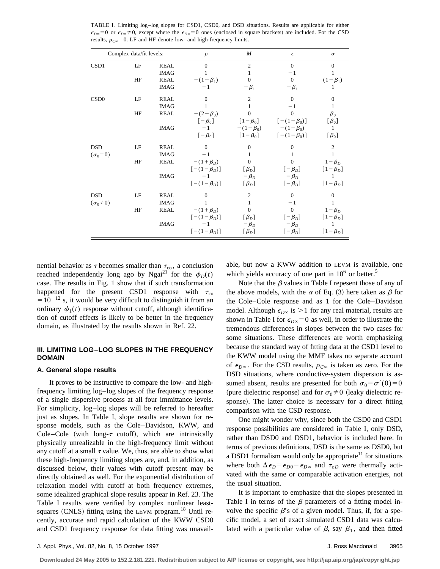| Complex data/fit levels:          |          |                                                          | $\rho$                                                                                                      | $\boldsymbol{M}$                                                                           | $\epsilon$                                                                                                                                                                                                                                                  | $\sigma$                                                                   |  |
|-----------------------------------|----------|----------------------------------------------------------|-------------------------------------------------------------------------------------------------------------|--------------------------------------------------------------------------------------------|-------------------------------------------------------------------------------------------------------------------------------------------------------------------------------------------------------------------------------------------------------------|----------------------------------------------------------------------------|--|
| CSD1                              | LF<br>HF | <b>REAL</b><br><b>IMAG</b><br><b>REAL</b><br><b>IMAG</b> | $\Omega$<br>$-(1+\beta_1)$<br>$-1$                                                                          | $\overline{2}$<br>1<br>$\Omega$<br>$-\beta_1$                                              | $\theta$<br>$-1$<br>$\mathbf{0}$<br>$-\beta_1$                                                                                                                                                                                                              | $\Omega$<br>$(1 - \beta_1)$                                                |  |
| CSD <sub>0</sub>                  | LF<br>HF | <b>REAL</b><br><b>IMAG</b><br>REAL<br><b>IMAG</b>        | $\Omega$<br>1<br>$-(2 - \beta_0)$<br>$[-\beta_0]$<br>$-1$<br>$[-\beta_0]$                                   | $\overline{c}$<br>$\Omega$                                                                 | $\Omega$<br>$-1$<br>$\overline{0}$<br>$\begin{bmatrix} 1-\beta_0 \end{bmatrix}$ $\begin{bmatrix} -(1-\beta_0) \end{bmatrix}$<br>$-(1 - \beta_0)$ $-(1 - \beta_0)$<br>$\begin{bmatrix} 1-\beta_0 \end{bmatrix}$ $\begin{bmatrix} -(1-\beta_0) \end{bmatrix}$ | $\boldsymbol{0}$<br>1<br>$\beta_0$<br>$[\beta_0]$<br>1<br>$[\beta_0]$      |  |
| <b>DSD</b><br>$(\sigma_0=0)$      | LF<br>HF | <b>REAL</b><br><b>IMAG</b><br>REAL<br><b>IMAG</b>        | $\Omega$<br>$-1$<br>$-(1+\beta_D)$<br>$[-(1-\beta_D)]$<br>$-1$<br>$\lceil -(1 - \beta_D) \rceil$            | $\theta$<br>1<br>$\Omega$<br>$[\beta_D]$<br>$-\beta_D$<br>$[\beta_D]$                      | $\overline{0}$<br>$\overline{0}$<br>$[-\beta_D]$<br>$-\beta_D$<br>$[-\beta_D]$                                                                                                                                                                              | 2<br>1<br>$1-\beta_D$<br>$[1-\beta_D]$<br>1<br>$\lceil 1 - \beta_D \rceil$ |  |
| <b>DSD</b><br>$(\sigma_0 \neq 0)$ | LF<br>HF | <b>REAL</b><br><b>IMAG</b><br><b>REAL</b><br><b>IMAG</b> | $\Omega$<br>1<br>$-(1+\beta_D)$<br>$\lceil -(1 - \beta_D) \rceil$<br>$-1$<br>$\lceil -(1 - \beta_D) \rceil$ | $\overline{c}$<br>$\mathbf{1}$<br>$\mathbf{0}$<br>$[\beta_D]$<br>$-\beta_D$<br>$[\beta_D]$ | $\mathbf{0}$<br>$-1$<br>$\boldsymbol{0}$<br>$[-\beta_D]$<br>$-\beta_D$<br>$[-\beta_D]$                                                                                                                                                                      | $\overline{0}$<br>1<br>$1-\beta_D$<br>$[1-\beta_D]$<br>$[1-\beta_D]$       |  |

TABLE I. Limiting log–log slopes for CSD1, CSD0, and DSD situations. Results are applicable for either  $\epsilon_{D\infty}=0$  or  $\epsilon_{D\infty}\neq 0$ , except where the  $\epsilon_{D\infty}=0$  ones (enclosed in square brackets) are included. For the CSD results,  $\rho_{C\infty} = 0$ . LF and HF denote low- and high-frequency limits.

nential behavior as  $\tau$  becomes smaller than  $\tau_{\rm co}$ , a conclusion reached independently long ago by Ngai<sup>21</sup> for the  $\phi_D(t)$ case. The results in Fig. 1 show that if such transformation happened for the present CSD1 response with  $\tau_{\rm co}$  $=10^{-12}$  s, it would be very difficult to distinguish it from an ordinary  $\phi_1(t)$  response without cutoff, although identification of cutoff effects is likely to be better in the frequency domain, as illustrated by the results shown in Ref. 22.

## **III. LIMITING LOG–LOG SLOPES IN THE FREQUENCY DOMAIN**

## **A. General slope results**

It proves to be instructive to compare the low- and highfrequency limiting log–log slopes of the frequency response of a single dispersive process at all four immittance levels. For simplicity, log–log slopes will be referred to hereafter just as slopes. In Table I, slope results are shown for response models, such as the Cole–Davidson, KWW, and Cole–Cole (with long- $\tau$  cutoff), which are intrinsically physically unrealizable in the high-frequency limit without any cutoff at a small  $\tau$  value. We, thus, are able to show what these high-frequency limiting slopes are, and, in addition, as discussed below, their values with cutoff present may be directly obtained as well. For the exponential distribution of relaxation model with cutoff at both frequency extremes, some idealized graphical slope results appear in Ref. 23. The Table I results were verified by complex nonlinear leastsquares  $(CNLS)$  fitting using the LEVM program.<sup>18</sup> Until recently, accurate and rapid calculation of the KWW CSD0 and CSD1 frequency response for data fitting was unavailable, but now a KWW addition to LEVM is available, one which yields accuracy of one part in  $10^6$  or better.<sup>5</sup>

Note that the  $\beta$  values in Table I repesent those of any of the above models, with the  $\alpha$  of Eq. (3) here taken as  $\beta$  for the Cole–Cole response and as 1 for the Cole–Davidson model. Although  $\epsilon_{D^\infty}$  is  $>1$  for any real material, results are shown in Table I for  $\epsilon_{D\infty} = 0$  as well, in order to illustrate the tremendous differences in slopes between the two cases for some situations. These differences are worth emphasizing because the standard way of fitting data at the CSD1 level to the KWW model using the MMF takes no separate account of  $\epsilon_{D\infty}$ . For the CSD results,  $\rho_{C\infty}$  is taken as zero. For the DSD situations, where conductive-system dispersion is assumed absent, results are presented for both  $\sigma_0 \equiv \sigma'(0) = 0$ (pure dielectric response) and for  $\sigma_0 \neq 0$  (leaky dielectric response). The latter choice is necessary for a direct fitting comparison with the CSD response.

One might wonder why, since both the CSD0 and CSD1 response possibilities are considered in Table I, only DSD, rather than DSD0 and DSD1, behavior is included here. In terms of previous definitions, DSD is the same as DSD0, but a DSD1 formalism would only be appropriate<sup>11</sup> for situations where both  $\Delta \epsilon_D \equiv \epsilon_{D0} - \epsilon_{D\infty}$  and  $\tau_{oD}$  were thermally activated with the same or comparable activation energies, not the usual situation.

It is important to emphasize that the slopes presented in Table I in terms of the  $\beta$  parameters of a fitting model involve the specific  $\beta$ 's of a given model. Thus, if, for a specific model, a set of exact simulated CSD1 data was calculated with a particular value of  $\beta$ , say  $\beta_1$ , and then fitted

**Downloaded 24 May 2005 to 152.2.181.221. Redistribution subject to AIP license or copyright, see http://jap.aip.org/jap/copyright.jsp**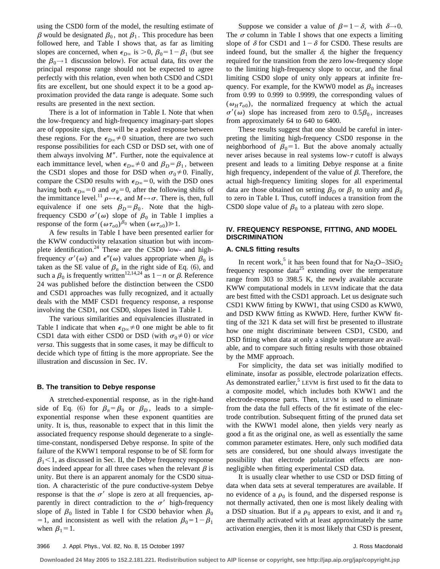using the CSD0 form of the model, the resulting estimate of  $\beta$  would be designated  $\beta_0$ , not  $\beta_1$ . This procedure has been followed here, and Table I shows that, as far as limiting slopes are concerned, when  $\epsilon_{D^\infty}$  is  $> 0$ ,  $\beta_0 = 1 - \beta_1$  (but see the  $\beta_0 \rightarrow 1$  discussion below). For actual data, fits over the principal response range should not be expected to agree perfectly with this relation, even when both CSD0 and CSD1 fits are excellent, but one should expect it to be a good approximation provided the data range is adequate. Some such results are presented in the next section.

There is a lot of information in Table I. Note that when the low-frequency and high-frequency imaginary-part slopes are of opposite sign, there will be a peaked response between these regions. For the  $\epsilon_{D^\infty} \neq 0$  situation, there are two such response possibilities for each CSD or DSD set, with one of them always involving  $M''$ . Further, note the equivalence at each immittance level, when  $\epsilon_{D^\infty} \neq 0$  and  $\beta_D = \beta_1$ , between the CSD1 slopes and those for DSD when  $\sigma_0 \neq 0$ . Finally, compare the CSD0 results with  $\epsilon_{D\infty}$ =0, with the DSD ones having both  $\epsilon_{D\infty}$ =0 and  $\sigma_0$ =0, after the following shifts of the immittance level.<sup>11</sup>  $\rho \leftrightarrow \epsilon$ , and  $M \leftrightarrow \sigma$ . There is, then, full equivalence if one sets  $\beta_D = \beta_0$ . Note that the highfrequency CSD0  $\sigma'(\omega)$  slope of  $\beta_0$  in Table I implies a response of the form  $(\omega \tau_{o0})^{\beta_0}$  when  $(\omega \tau_{o0}) \ge 1$ .

A few results in Table I have been presented earlier for the KWW conductivity relaxation situation but with incomplete identification. $24$  These are the CSD0 low- and highfrequency  $\sigma'(\omega)$  and  $\epsilon''(\omega)$  values appropriate when  $\beta_0$  is taken as the SE value of  $\beta_n$  in the right side of Eq. (6), and such a  $\beta_0$  is frequently written<sup>12,14,24</sup> as  $1-n$  or  $\beta$ . Reference 24 was published before the distinction between the CSD0 and CSD1 approaches was fully recognized, and it actually deals with the MMF CSD1 frequency response, a response involving the CSD1, not CSD0, slopes listed in Table I.

The various similarities and equivalencies illustrated in Table I indicate that when  $\epsilon_{D\infty} \neq 0$  one might be able to fit CSD1 data with either CSD0 or DSD (with  $\sigma_0 \neq 0$ ) or *vice versa*. This suggests that in some cases, it may be difficult to decide which type of fitting is the more appropriate. See the illustration and discussion in Sec. IV.

#### **B. The transition to Debye response**

A stretched-exponential response, as in the right-hand side of Eq. (6) for  $\beta_n = \beta_0$  or  $\beta_D$ , leads to a simpleexponential response when these exponent quantities are unity. It is, thus, reasonable to expect that in this limit the associated frequency response should degenerate to a singletime-constant, nondispersed Debye response. In spite of the failure of the KWW1 temporal response to be of SE form for  $\beta_1$ <1, as discussed in Sec. II, the Debye frequency response does indeed appear for all three cases when the relevant  $\beta$  is unity. But there is an apparent anomaly for the CSD0 situation. A characteristic of the pure conductive-system Debye response is that the  $\sigma'$  slope is zero at all frequencies, apparently in direct contradiction to the  $\sigma'$  high-frequency slope of  $\beta_0$  listed in Table I for CSD0 behavior when  $\beta_0$ = 1, and inconsistent as well with the relation  $\beta_0=1-\beta_1$ when  $\beta_1=1$ .

Suppose we consider a value of  $\beta=1-\delta$ , with  $\delta\rightarrow 0$ . The  $\sigma$  column in Table I shows that one expects a limiting slope of  $\delta$  for CSD1 and  $1-\delta$  for CSD0. These results are indeed found, but the smaller  $\delta$ , the higher the frequency required for the transition from the zero low-frequency slope to the limiting high-frequency slope to occur, and the final limiting CSD0 slope of unity only appears at infinite frequency. For example, for the KWW0 model as  $\beta_0$  increases from 0.99 to 0.999 to 0.9999, the corresponding values of  $(\omega_H \tau_{o0})$ , the normalized frequency at which the actual  $\sigma'(\omega)$  slope has increased from zero to  $0.5\beta_0$ , increases from approximately 64 to 640 to 6400.

These results suggest that one should be careful in interpreting the limiting high-frequency CSD0 response in the neighborhood of  $\beta_0=1$ . But the above anomaly actually never arises because in real systems low- $\tau$  cutoff is always present and leads to a limiting Debye response at a finite high frequency, independent of the value of  $\beta$ . Therefore, the actual high-frequency limiting slopes for all experimental data are those obtained on setting  $\beta_D$  or  $\beta_1$  to unity and  $\beta_0$ to zero in Table I. Thus, cutoff induces a transition from the CSD0 slope value of  $\beta_0$  to a plateau with zero slope.

# **IV. FREQUENCY RESPONSE, FITTING, AND MODEL DISCRIMINATION**

## **A. CNLS fitting results**

In recent work,<sup>5</sup> it has been found that for  $Na<sub>2</sub>O-3SiO<sub>2</sub>$ frequency response data<sup>25</sup> extending over the temperature range from 303 to 398.5 K, the newly available accurate KWW computational models in LEVM indicate that the data are best fitted with the CSD1 approach. Let us designate such CSD1 KWW fitting by KWW1, that using CSD0 as KWW0, and DSD KWW fitting as KWWD. Here, further KWW fitting of the 321 K data set will first be presented to illustrate how one might discriminate between CSD1, CSD0, and DSD fitting when data at only a single temperature are available, and to compare such fitting results with those obtained by the MMF approach.

For simplicity, the data set was initially modified to eliminate, insofar as possible, electrode polarization effects. As demonstrated earlier,<sup>5</sup> LEVM is first used to fit the data to a composite model, which includes both KWW1 and the electrode-response parts. Then, LEVM is used to eliminate from the data the full effects of the fit estimate of the electrode contribution. Subsequent fitting of the pruned data set with the KWW1 model alone, then yields very nearly as good a fit as the original one, as well as essentially the same common parameter estimates. Here, only such modified data sets are considered, but one should always investigate the possibility that electrode polarization effects are nonnegligible when fitting experimental CSD data.

It is usually clear whether to use CSD or DSD fitting of data when data sets at several temperatures are available. If no evidence of a  $\rho_0$  is found, and the dispersed response is not thermally activated, then one is most likely dealing with a DSD situation. But if a  $\rho_0$  appears to exist, and it and  $\tau_0$ are thermally activated with at least approximately the same activation energies, then it is most likely that CSD is present,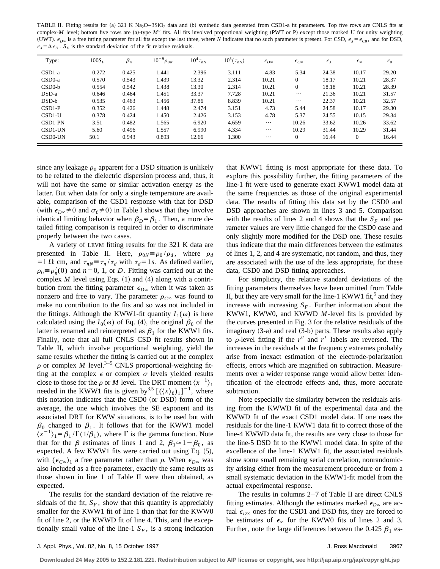TABLE II. Fitting results for (a) 321 K Na<sub>2</sub>O–3SiO<sub>2</sub> data and (b) synthetic data generated from CSD1-a fit parameters. Top five rows are CNLS fits at complex-*M* level; bottom five rows are (a)-type *M*<sup>*n*</sup> fits. All fits involved proportional weighting (PWT or P) except those marked U for unity weighting (UWT).  $\epsilon_{D\infty}$  is a free fitting parameter for all fits except the last three, where *N* indicates that no such parameter is present. For CSD,  $\epsilon_X = \epsilon_{C0}$ , and for DSD,  $\epsilon_X = \Delta \epsilon_D$ .  $S_F$  is the standard deviation of the fit relative residuals.

| Type:    | $100S_F$ | $\beta_n$ | $10^{-9} \rho_{0N}$ | $10^4 \tau_{nN}$ | $10^3 \langle \tau_{nN} \rangle$ | $\epsilon_{D^\infty}$ | $\epsilon_{C^{\infty}}$ | $\epsilon_X$ | $\epsilon_{\infty}$ | $\epsilon_0$ |
|----------|----------|-----------|---------------------|------------------|----------------------------------|-----------------------|-------------------------|--------------|---------------------|--------------|
| $CSD1-a$ | 0.272    | 0.425     | l.441               | 2.396            | 3.111                            | 4.83                  | 5.34                    | 24.38        | 10.17               | 29.20        |
| $CSD0-a$ | 0.570    | 0.543     | L <sub>439</sub>    | 13.32            | 2.314                            | 10.21                 | $\Omega$                | 18.17        | 10.21               | 28.37        |
| $CSD0-b$ | 0.554    | 0.542     | l.438               | 13.30            | 2.314                            | 10.21                 | $\Omega$                | 18.18        | 10.21               | 28.39        |
| $DSD-a$  | 0.646    | 0.464     | 1.451               | 33.37            | 7.728                            | 10.21                 | $\cdots$                | 21.36        | 10.21               | 31.57        |
| DSD-b    | 0.535    | 0.463     | 1.456               | 37.86            | 8.839                            | 10.21                 | $\cdots$                | 22.37        | 10.21               | 32.57        |
| $CSD1-P$ | 0.352    | 0.426     | l.448               | 2.474            | 3.151                            | 4.73                  | 5.44                    | 24.58        | 10.17               | 29.30        |
| CSD1-U   | 0.378    | 0.424     | 1.450               | 2.426            | 3.153                            | 4.78                  | 5.37                    | 24.55        | 10.15               | 29.34        |
| CSD1-PN  | 3.51     | 0.482     | 1.565               | 6.920            | 4.659                            | $\cdots$              | 10.26                   | 33.62        | 10.26               | 33.62        |
| CSD1-UN  | 5.60     | 0.496     | 1.557               | 6.990            | 4.334                            | $\cdots$              | 10.29                   | 31.44        | 10.29               | 31.44        |
| CSD0-UN  | 50.1     | 0.943     | 0.893               | 12.66            | 1.300                            | $\cdots$              | $\mathbf{0}$            | 16.44        | $\mathbf{0}$        | 16.44        |

since any leakage  $\rho_0$  apparent for a DSD situation is unlikely to be related to the dielectric dispersion process and, thus, it will not have the same or similar activation energy as the latter. But when data for only a single temperature are available, comparison of the CSD1 response with that for DSD (with  $\epsilon_{D\infty} \neq 0$  and  $\sigma_0 \neq 0$ ) in Table I shows that they involve identical limiting behavior when  $\beta_D = \beta_1$ . Then, a more detailed fitting comparison is required in order to discriminate properly between the two cases.

A variety of LEVM fitting results for the 321 K data are presented in Table II. Here,  $\rho_{0N} \equiv \rho_0 / \rho_d$ , where  $\rho_d$ =1  $\Omega$  cm, and  $\tau_{nN} \equiv \tau_n / \tau_d$  with  $\tau_d = 1 s$ . As defined earlier,  $\rho_0 \equiv \rho'_n(0)$  and  $n=0, 1$ , or *D*. Fitting was carried out at the complex  $M$  level using Eqs.  $(1)$  and  $(4)$  along with a contribution from the fitting parameter  $\epsilon_{D^\infty}$  when it was taken as nonzero and free to vary. The parameter  $\rho_{C\infty}$  was found to make no contribution to the fits and so was not included in the fittings. Although the KWW1-fit quantity  $I_1(\omega)$  is here calculated using the  $I_0(\omega)$  of Eq. (4), the original  $\beta_0$  of the latter is renamed and reinterpreted as  $\beta_1$  for the KWW1 fits. Finally, note that all full CNLS CSD fit results shown in Table II, which involve proportional weighting, yield the same results whether the fitting is carried out at the complex  $\rho$  or complex *M* level.<sup>3–5</sup> CNLS proportional-weighting fitting at the complex  $\epsilon$  or complex  $\sigma$  levels yielded results close to those for the  $\rho$  or *M* level. The DRT moment  $\langle x^{-1} \rangle_1$ needed in the KWW1 fits is given by<sup>3,5</sup>  $[(\langle x \rangle_0)_1]^{-1}$ , where this notation indicates that the CSD0 (or DSD) form of the average, the one which involves the SE exponent and its associated DRT for KWW situations, is to be used but with  $\beta_0$  changed to  $\beta_1$ . It follows that for the KWW1 model  $\langle x^{-1} \rangle_1 = \beta_1 / \Gamma(1/\beta_1)$ , where  $\Gamma$  is the gamma function. Note that for the  $\beta$  estimates of lines 1 and 2,  $\beta_1 \approx 1-\beta_0$ , as expected. A few KWW1 fits were carried out using Eq.  $(5)$ , with  $(\epsilon_{C\infty})_1$  a free parameter rather than  $\rho$ . When  $\epsilon_{D\infty}$  was also included as a free parameter, exactly the same results as those shown in line 1 of Table II were then obtained, as expected.

The results for the standard deviation of the relative residuals of the fit,  $S_F$ , show that this quantity is appreciably smaller for the KWW1 fit of line 1 than that for the KWW0 fit of line 2, or the KWWD fit of line 4. This, and the exceptionally small value of the line-1  $S_F$ , is a strong indication that KWW1 fitting is most appropriate for these data. To explore this possibility further, the fitting parameters of the line-1 fit were used to generate exact KWW1 model data at the same frequencies as those of the original experimental data. The results of fitting this data set by the CSD0 and DSD approaches are shown in lines 3 and 5. Comparison with the results of lines 2 and 4 shows that the  $S_F$  and parameter values are very little changed for the CSD0 case and only slightly more modified for the DSD one. These results thus indicate that the main differences between the estimates of lines 1, 2, and 4 are systematic, not random, and thus, they are associated with the use of the less appropriate, for these data, CSD0 and DSD fitting approaches.

For simplicity, the relative standard deviations of the fitting parameters themselves have been omitted from Table II, but they are very small for the line-1 KWW1 fit,<sup>5</sup> and they increase with increasing  $S_F$ . Further information about the KWW1, KWW0, and KWWD *M*-level fits is provided by the curves presented in Fig. 3 for the relative residuals of the imaginary  $(3-a)$  and real  $(3-b)$  parts. These results also apply to  $\rho$ -level fitting if the  $r''$  and  $r'$  labels are reversed. The increases in the residuals at the frequency extremes probably arise from inexact estimation of the electrode-polarization effects, errors which are magnified on subtraction. Measurements over a wider response range would allow better identification of the electrode effects and, thus, more accurate subtraction.

Note especially the similarity between the residuals arising from the KWWD fit of the experimental data and the KWWD fit of the exact CSD1 model data. If one uses the residuals for the line-1 KWW1 data fit to correct those of the line-4 KWWD data fit, the results are very close to those for the line-5 DSD fit to the KWW1 model data. In spite of the excellence of the line-1 KWW1 fit, the associated residuals show some small remaining serial correlation, nonrandomicity arising either from the measurement procedure or from a small systematic deviation in the KWW1-fit model from the actual experimental response.

The results in columns 2–7 of Table II are direct CNLS fitting estimates. Although the estimates marked  $\epsilon_{D^\infty}$  are actual  $\epsilon_{D\infty}$  ones for the CSD1 and DSD fits, they are forced to be estimates of  $\epsilon_{\infty}$  for the KWW0 fits of lines 2 and 3. Further, note the large differences between the 0.425  $\beta_1$  es-

**Downloaded 24 May 2005 to 152.2.181.221. Redistribution subject to AIP license or copyright, see http://jap.aip.org/jap/copyright.jsp**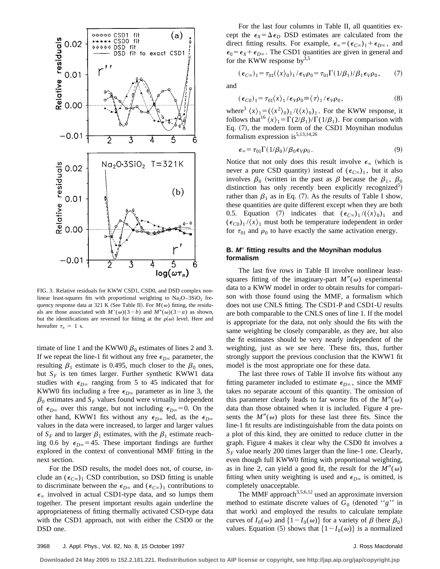

FIG. 3. Relative residuals for KWW CSD1, CSD0, and DSD complex nonlinear least-squares fits with proportional weighting to  $Na<sub>2</sub>O-3SiO<sub>2</sub>$  frequency response data at 321 K (See Table II). For  $M(\omega)$  fitting, the residuals are those associated with  $M'(\omega)(3-b)$  and  $M''(\omega)(3-a)$  as shown, but the identifications are reversed for fitting at the  $\rho(\omega)$  level. Here and hereafter  $\tau_n = 1$  s.

timate of line 1 and the KWW0  $\beta_0$  estimates of lines 2 and 3. If we repeat the line-1 fit without any free  $\epsilon_{D^\infty}$  parameter, the resulting  $\beta_1$  estimate is 0.495, much closer to the  $\beta_0$  ones, but  $S_F$  is ten times larger. Further synthetic KWW1 data studies with  $\epsilon_{D^\infty}$  ranging from 5 to 45 indicated that for KWW0 fits including a free  $\epsilon_{D^\infty}$  parameter as in line 3, the  $\beta_0$  estimates and  $S_F$  values found were virtually independent of  $\epsilon_{D^\infty}$  over this range, but not including  $\epsilon_{D^\infty}=0$ . On the other hand, KWW1 fits without any  $\epsilon_{D^\infty}$  led, as the  $\epsilon_{D^\infty}$ values in the data were increased, to larger and larger values of  $S_F$  and to larger  $\beta_1$  estimates, with the  $\beta_1$  estimate reaching 0.6 by  $\epsilon_{D\infty}$ =45. These important findings are further explored in the context of conventional MMF fitting in the next section.

For the DSD results, the model does not, of course, include an  $(\epsilon_{C\infty})_1$  CSD contribution, so DSD fitting is unable to discriminate between the  $\epsilon_{D^\infty}$  and  $(\epsilon_{C^\infty})_1$  contributions to  $\epsilon_{\infty}$  involved in actual CSD1-type data, and so lumps them together. The present important results again underline the appropriateness of fitting thermally activated CSD-type data with the CSD1 approach, not with either the CSD0 or the DSD one.

For the last four columns in Table II, all quantities except the  $\epsilon_X = \Delta \epsilon_D$  DSD estimates are calculated from the direct fitting results. For example,  $\epsilon_{\infty} = (\epsilon_{C\infty})_1 + \epsilon_{D\infty}$ , and  $\epsilon_0 = \epsilon_X + \epsilon_{D^\infty}$ . The CSD1 quantities are given in general and for the KWW response by  $3,5$ 

 $(\epsilon_{C\infty})_1 = \tau_{01}(\langle x \rangle_0)_1 / \epsilon_V \rho_0 = \tau_{01} \Gamma(1/\beta_1) / \beta_1 \epsilon_V \rho_0$ , (7)

and

$$
(\epsilon_{C0})_1 = \tau_{01} \langle x \rangle_1 / \epsilon_V \rho_0 \equiv \langle \tau \rangle_1 / \epsilon_V \rho_0, \qquad (8)
$$

where<sup>3</sup>  $\langle x \rangle_1 = (\langle x^2 \rangle_0)_1 / (\langle x \rangle_0)_1$ . For the KWW response, it follows that<sup>16</sup>  $\langle x \rangle_1 = \Gamma(2/\beta_1)/\Gamma(1/\beta_1)$ . For comparison with Eq.  $(7)$ , the modern form of the CSD1 Moynihan modulus formalism expression is  $5,13,14,26$ 

$$
\epsilon_{\infty} = \tau_{01} \Gamma(1/\beta_0) / \beta_0 \epsilon_V \rho_0. \tag{9}
$$

Notice that not only does this result involve  $\epsilon_{\infty}$  (which is never a pure CSD quantity) instead of  $(\epsilon_{C\infty})_1$ , but it also involves  $\beta_0$  (written in the past as  $\beta$  because the  $\beta_1$ ,  $\beta_0$ distinction has only recently been explicitly recognized<sup>5</sup>) rather than  $\beta_1$  as in Eq. (7). As the results of Table I show, these quantities are quite different except when they are both 0.5. Equation (7) indicates that  $(\epsilon_{C\infty})_1 / (\langle x \rangle_0)_1$  and  $(\epsilon_{C0})_1/\langle x \rangle_1$  must both be temperature independent in order for  $\tau_{01}$  and  $\rho_0$  to have exactly the same activation energy.

## **B. <sup>M</sup>**9 **fitting results and the Moynihan modulus formalism**

The last five rows in Table II involve nonlinear leastsquares fitting of the imaginary-part  $M''(\omega)$  experimental data to a KWW model in order to obtain results for comparison with those found using the MMF, a formalism which does not use CNLS fitting. The CSD1-P and CSD1-U results are both comparable to the CNLS ones of line 1. If the model is appropriate for the data, not only should the fits with the same weighting be closely comparable, as they are, but also the fit estimates should be very nearly independent of the weighting, just as we see here. These fits, thus, further strongly support the previous conclusion that the KWW1 fit model is the most appropriate one for these data.

The last three rows of Table II involve fits without any fitting parameter included to estimate  $\epsilon_{D^\infty}$ , since the MMF takes no separate account of this quantity. The omission of this parameter clearly leads to far worse fits of the  $M''(\omega)$ data than those obtained when it is included. Figure 4 presents the  $M''(\omega)$  plots for these last three fits. Since the line-1 fit results are indistinguishable from the data points on a plot of this kind, they are omitted to reduce clutter in the graph. Figure 4 makes it clear why the CSD0 fit involves a  $S_F$  value nearly 200 times larger than the line-1 one. Clearly, even though full KWW0 fitting with proportional weighting, as in line 2, can yield a good fit, the result for the  $M''(\omega)$ fitting when unity weighting is used and  $\epsilon_{D^\infty}$  is omitted, is completely unacceptable.

The MMF approach<sup>3,5,6,12</sup> used an approximate inversion method to estimate discrete values of  $G_0$  (denoted "*g*" in that work) and employed the results to calculate template curves of  $I_0(\omega)$  and  $\{1 - I_0(\omega)\}\$  for a variety of  $\beta$  (here  $\beta_0$ ) values. Equation (5) shows that  $\{1-I_0(\omega)\}\;$  is a normalized

**Downloaded 24 May 2005 to 152.2.181.221. Redistribution subject to AIP license or copyright, see http://jap.aip.org/jap/copyright.jsp**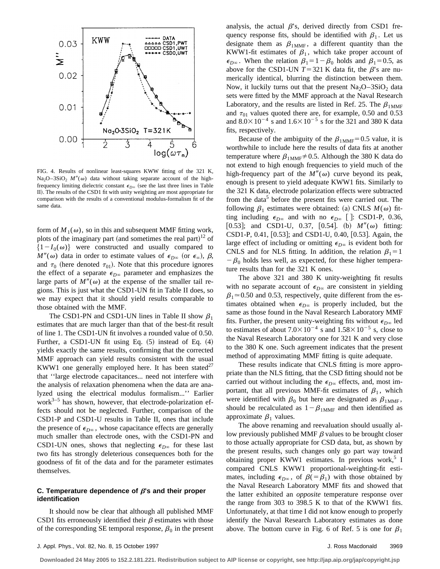

FIG. 4. Results of nonlinear least-squares KWW fitting of the 321 K, Na<sub>2</sub>O–3SiO<sub>2</sub>  $M''(\omega)$  data without taking separate account of the highfrequency limiting dielectric constant  $\epsilon_{D^\infty}$  (see the last three lines in Table II). The results of the CSD1 fit with unity weighting are most appropriate for comparison with the results of a conventional modulus-formalism fit of the same data.

form of  $M_1(\omega)$ , so in this and subsequent MMF fitting work, plots of the imaginary part (and sometimes the real part)<sup>12</sup> of  $\{1-I_0(\omega)\}\$  were constructed and usually compared to  $M''(\omega)$  data in order to estimate values of  $\epsilon_{D^\infty}$  (or  $\epsilon_\infty$ ),  $\beta$ , and  $\tau_0$  (here denoted  $\tau_{01}$ ). Note that this procedure ignores the effect of a separate  $\epsilon_{D^\infty}$  parameter and emphasizes the large parts of  $M''(\omega)$  at the expense of the smaller tail regions. This is just what the CSD1-UN fit in Table II does, so we may expect that it should yield results comparable to those obtained with the MMF.

The CSD1-PN and CSD1-UN lines in Table II show  $\beta_1$ estimates that are much larger than that of the best-fit result of line 1. The CSD1-UN fit involves a rounded value of 0.50. Further, a CSD1-UN fit using Eq.  $(5)$  instead of Eq.  $(4)$ yields exactly the same results, confirming that the corrected MMF approach can yield results consistent with the usual KWW1 one generally employed here. It has been stated<sup>27</sup> that ''large electrode capacitances... need not interfere with the analysis of relaxation phenomena when the data are analyzed using the electrical modulus formalism...'' Earlier work $3-5$  has shown, however, that electrode-polarization effects should not be neglected. Further, comparison of the CSD1-P and CSD1-U results in Table II, ones that include the presence of  $\epsilon_{D\infty}$ , whose capacitance effects are generally much smaller than electrode ones, with the CSD1-PN and CSD1-UN ones, shows that neglecting  $\epsilon_{D\infty}$  for these last two fits has strongly deleterious consequences both for the goodness of fit of the data and for the parameter estimates themselves.

## **C. Temperature dependence of**  $\beta$ **'s and their proper identification**

It should now be clear that although all published MMF CSD1 fits erroneously identified their  $\beta$  estimates with those of the corresponding SE temporal response,  $\beta_0$  in the present analysis, the actual  $\beta$ 's, derived directly from CSD1 frequency response fits, should be identified with  $\beta_1$ . Let us designate them as  $\beta_{1MMF}$ , a different quantity than the KWW1-fit estimates of  $\beta_1$ , which take proper account of  $\epsilon_{D\infty}$ . When the relation  $\beta_1=1-\beta_0$  holds and  $\beta_1=0.5$ , as above for the CSD1-UN  $T=321$  K data fit, the  $\beta$ 's are numerically identical, blurring the distinction between them. Now, it luckily turns out that the present  $Na<sub>2</sub>O-3SiO<sub>2</sub>$  data sets were fitted by the MMF approach at the Naval Research Laboratory, and the results are listed in Ref. 25. The  $\beta_{1MMF}$ and  $\tau_{01}$  values quoted there are, for example, 0.50 and 0.53 and  $8.0\times10^{-4}$  s and  $1.6\times10^{-5}$  s for the 321 and 380 K data fits, respectively.

Because of the ambiguity of the  $\beta_{1MMF}=0.5$  value, it is worthwhile to include here the results of data fits at another temperature where  $\beta_{1MMF} \neq 0.5$ . Although the 380 K data do not extend to high enough frequencies to yield much of the high-frequency part of the  $M''(\omega)$  curve beyond its peak, enough is present to yield adequate KWW1 fits. Similarly to the 321 K data, electrode polarization effects were subtracted from the data<sup>5</sup> before the present fits were carried out. The following  $\beta_1$  estimates were obtained: (a) CNLS  $M(\omega)$  fitting including  $\epsilon_{D^\infty}$  and with no  $\epsilon_{D^\infty}$  []: CSD1-P, 0.36, [0.53]; and CSD1-U, 0.37, [0.54]. (b)  $M''(\omega)$  fitting: CSD1-P, 0.41,  $[0.53]$ ; and CSD1-U, 0.40,  $[0.53]$ . Again, the large effect of including or omitting  $\epsilon_{D^\infty}$  is evident both for CNLS and for NLS fitting. In addition, the relation  $\beta_1=1$  $-\beta_0$  holds less well, as expected, for these higher temperature results than for the 321 K ones.

The above 321 and 380 K unity-weighting fit results with no separate account of  $\epsilon_{D^\infty}$  are consistent in yielding  $\beta_1 \approx 0.50$  and 0.53, respectively, quite different from the estimates obtained when  $\epsilon_{D^\infty}$  is properly included, but the same as those found in the Naval Research Laboratory MMF fits. Further, the present unity-weighting fits without  $\epsilon_{D^\infty}$  led to estimates of about  $7.0\times10^{-4}$  s and  $1.58\times10^{-5}$  s, close to the Naval Research Laboratory one for 321 K and very close to the 380 K one. Such agreement indicates that the present method of approximating MMF fitting is quite adequate.

These results indicate that CNLS fitting is more appropriate than the NLS fitting, that the CSD fitting should not be carried out without including the  $\epsilon_{D^\infty}$  effects, and, most important, that all previous MMF-fit estimates of  $\beta_1$ , which were identified with  $\beta_0$  but here are designated as  $\beta_{1MMF}$ , should be recalculated as  $1-\beta_{1MMF}$  and then identified as approximate  $\beta_1$  values.

The above renaming and reevaluation should usually allow previously published MMF  $\beta$  values to be brought closer to those actually appropriate for CSD data, but, as shown by the present results, such changes only go part way toward obtaining proper KWW1 estimates. In previous work,<sup>5</sup> I compared CNLS KWW1 proportional-weighting-fit estimates, including  $\epsilon_{D^\infty}$ , of  $\beta(=\beta_1)$  with those obtained by the Naval Research Laboratory MMF fits and showed that the latter exhibited an *opposite* temperature response over the range from 303 to 398.5 K to that of the KWW1 fits. Unfortunately, at that time I did not know enough to properly identify the Naval Research Laboratory estimates as done above. The bottom curve in Fig. 6 of Ref. 5 is one for  $\beta_1$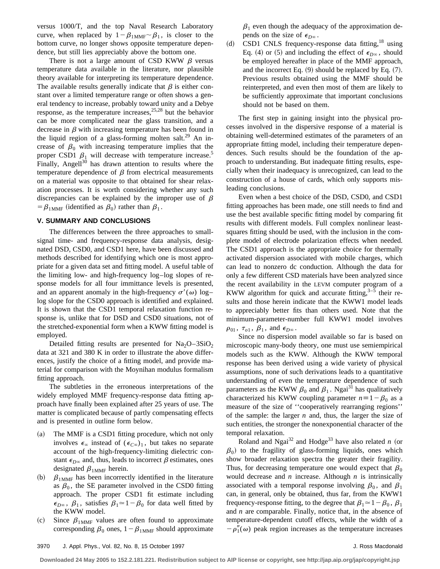versus 1000/T, and the top Naval Research Laboratory curve, when replaced by  $1-\beta_{1MMF} \sim \beta_1$ , is closer to the bottom curve, no longer shows opposite temperature dependence, but still lies appreciably above the bottom one.

There is not a large amount of CSD KWW  $\beta$  versus temperature data available in the literature, nor plausible theory available for interpreting its temperature dependence. The available results generally indicate that  $\beta$  is either constant over a limited temperature range or often shows a general tendency to increase, probably toward unity and a Debye response, as the temperature increases,  $25,28$  but the behavior can be more complicated near the glass transition, and a decrease in  $\beta$  with increasing temperature has been found in the liquid region of a glass-forming molten salt.<sup>29</sup> An increase of  $\beta_0$  with increasing temperature implies that the proper CSD1  $\beta_1$  will decrease with temperature increase.<sup>5</sup> Finally, Angell $30$  has drawn attention to results where the temperature dependence of  $\beta$  from electrical measurements on a material was opposite to that obtained for shear relaxation processes. It is worth considering whether any such discrepancies can be explained by the improper use of  $\beta$  $= \beta_{1MMF}$  (identified as  $\beta_0$ ) rather than  $\beta_1$ .

## **V. SUMMARY AND CONCLUSIONS**

The differences between the three approaches to smallsignal time- and frequency-response data analysis, designated DSD, CSD0, and CSD1 here, have been discussed and methods described for identifying which one is most appropriate for a given data set and fitting model. A useful table of the limiting low- and high-frequency log–log slopes of response models for all four immittance levels is presented, and an apparent anomaly in the high-frequency  $\sigma'(\omega)$  log– log slope for the CSD0 approach is identified and explained. It is shown that the CSD1 temporal relaxation function response is, unlike that for DSD and CSD0 situations, not of the stretched-exponential form when a KWW fitting model is employed.

Detailed fitting results are presented for  $Na<sub>2</sub>O-3SiO<sub>2</sub>$ data at 321 and 380 K in order to illustrate the above differences, justify the choice of a fitting model, and provide material for comparison with the Moynihan modulus formalism fitting approach.

The subtleties in the erroneous interpretations of the widely employed MMF frequency-response data fitting approach have finally been explained after 25 years of use. The matter is complicated because of partly compensating effects and is presented in outline form below.

- (a) The MMF is a CSD1 fitting procedure, which not only involves  $\epsilon_{\infty}$  instead of  $(\epsilon_{C\infty})_1$ , but takes no separate account of the high-frequency-limiting dielectric constant  $\epsilon_{D\infty}$  and, thus, leads to incorrect  $\beta$  estimates, ones designated  $\beta_{1MMF}$  herein.
- (b)  $\beta_{1MMF}$  has been incorrectly identified in the literature as  $\beta_0$ , the SE parameter involved in the CSD0 fitting approach. The proper CSD1 fit estimate including  $\epsilon_{D\infty}$ ,  $\beta_1$ , satisfies  $\beta_1 \approx 1-\beta_0$  for data well fitted by the KWW model.
- (c) Since  $\beta_{1MMF}$  values are often found to approximate corresponding  $\beta_0$  ones,  $1-\beta_{1MMF}$  should approximate

 $\beta_1$  even though the adequacy of the approximation depends on the size of  $\epsilon_{D^\infty}$ .

(d) CSD1 CNLS frequency-response data fitting,<sup>18</sup> using Eq. (4) or (5) and including the effect of  $\epsilon_{D\infty}$ , should be employed hereafter in place of the MMF approach, and the incorrect Eq.  $(9)$  should be replaced by Eq.  $(7)$ . Previous results obtained using the MMF should be reinterpreted, and even then most of them are likely to be sufficiently approximate that important conclusions should not be based on them.

The first step in gaining insight into the physical processes involved in the dispersive response of a material is obtaining well-determined estimates of the parameters of an appropriate fitting model, including their temperature dependences. Such results should be the foundation of the approach to understanding. But inadequate fitting results, especially when their inadequacy is unrecognized, can lead to the construction of a house of cards, which only supports misleading conclusions.

Even when a best choice of the DSD, CSD0, and CSD1 fitting approaches has been made, one still needs to find and use the best available specific fitting model by comparing fit results with different models. Full complex nonlinear leastsquares fitting should be used, with the inclusion in the complete model of electrode polarization effects when needed. The CSD1 approach is the appropriate choice for thermally activated dispersion associated with mobile charges, which can lead to nonzero dc conduction. Although the data for only a few different CSD materials have been analyzed since the recent availability in the LEVM computer program of a KWW algorithm for quick and accurate fitting,  $3-5$  their results and those herein indicate that the KWW1 model leads to appreciably better fits than others used. Note that the minimum-parameter-number full KWW1 model involves  $\rho_{01}$ ,  $\tau_{o1}$ ,  $\beta_1$ , and  $\epsilon_{D\infty}$ .

Since no dispersion model available so far is based on microscopic many-body theory, one must use semiempirical models such as the KWW. Although the KWW temporal response has been derived using a wide variety of physical assumptions, none of such derivations leads to a quantitative understanding of even the temperature dependence of such parameters as the KWW  $\beta_0$  and  $\beta_1$ . Ngai<sup>31</sup> has qualitatively characterized his KWW coupling parameter  $n=1-\beta_0$  as a measure of the size of ''cooperatively rearranging regions'' of the sample: the larger *n* and, thus, the larger the size of such entities, the stronger the nonexponential character of the temporal relaxation.

Roland and Ngai<sup>32</sup> and Hodge<sup>33</sup> have also related *n* (or  $\beta_0$ ) to the fragility of glass-forming liquids, ones which show broader relaxation spectra the greater their fragility. Thus, for decreasing temperature one would expect that  $\beta_0$ would decrease and *n* increase. Although *n* is intrinsically associated with a temporal response involving  $\beta_0$ , and  $\beta_1$ can, in general, only be obtained, thus far, from the KWW1 frequency-response fitting, to the degree that  $\beta_1 \approx 1-\beta_0$ ,  $\beta_1$ and *n* are comparable. Finally, notice that, in the absence of temperature-dependent cutoff effects, while the width of a  $-\rho''_1(\omega)$  peak region increases as the temperature increases

**Downloaded 24 May 2005 to 152.2.181.221. Redistribution subject to AIP license or copyright, see http://jap.aip.org/jap/copyright.jsp**